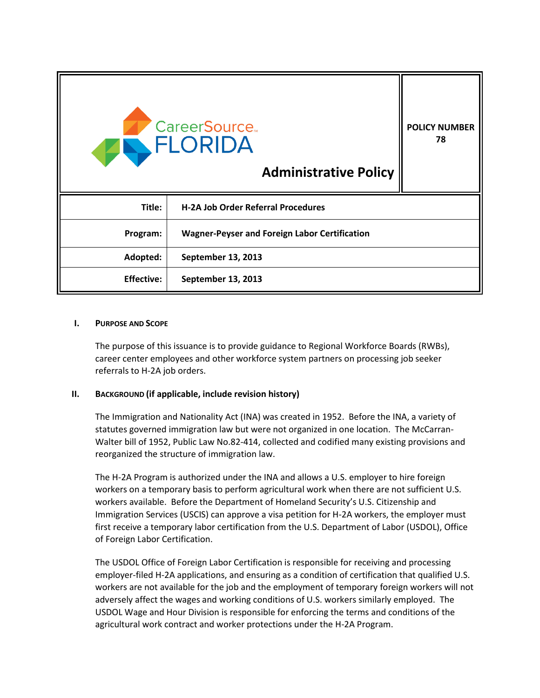|                   | CareerSource.<br>AN FLORIDA<br><b>Administrative Policy</b> | <b>POLICY NUMBER</b><br>78 |
|-------------------|-------------------------------------------------------------|----------------------------|
| Title:            | <b>H-2A Job Order Referral Procedures</b>                   |                            |
| Program:          | <b>Wagner-Peyser and Foreign Labor Certification</b>        |                            |
| Adopted:          | September 13, 2013                                          |                            |
| <b>Effective:</b> | September 13, 2013                                          |                            |

#### **I. PURPOSE AND SCOPE**

The purpose of this issuance is to provide guidance to Regional Workforce Boards (RWBs), career center employees and other workforce system partners on processing job seeker referrals to H-2A job orders.

## **II. BACKGROUND (if applicable, include revision history)**

The Immigration and Nationality Act (INA) was created in 1952. Before the INA, a variety of statutes governed immigration law but were not organized in one location. The McCarran-Walter bill of 1952, Public Law No.82-414, collected and codified many existing provisions and reorganized the structure of immigration law.

The H-2A Program is authorized under the INA and allows a U.S. employer to hire foreign workers on a temporary basis to perform agricultural work when there are not sufficient U.S. workers available. Before the Department of Homeland Security's U.S. Citizenship and Immigration Services (USCIS) can approve a visa petition for H-2A workers, the employer must first receive a temporary labor certification from the U.S. Department of Labor (USDOL), Office of Foreign Labor Certification.

The USDOL Office of Foreign Labor Certification is responsible for receiving and processing employer-filed H-2A applications, and ensuring as a condition of certification that qualified U.S. workers are not available for the job and the employment of temporary foreign workers will not adversely affect the wages and working conditions of U.S. workers similarly employed. The USDOL Wage and Hour Division is responsible for enforcing the terms and conditions of the agricultural work contract and worker protections under the H-2A Program.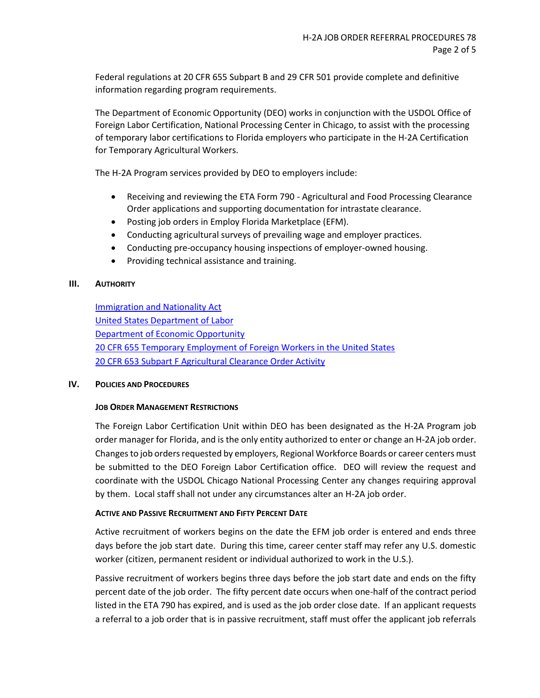Federal regulations at 20 CFR 655 Subpart B and 29 CFR 501 provide complete and definitive information regarding program requirements.

The Department of Economic Opportunity (DEO) works in conjunction with the USDOL Office of Foreign Labor Certification, National Processing Center in Chicago, to assist with the processing of temporary labor certifications to Florida employers who participate in the H-2A Certification for Temporary Agricultural Workers.

The H-2A Program services provided by DEO to employers include:

- Receiving and reviewing the ETA Form 790 Agricultural and Food Processing Clearance Order applications and supporting documentation for intrastate clearance.
- Posting job orders in Employ Florida Marketplace (EFM).
- Conducting agricultural surveys of prevailing wage and employer practices.
- Conducting pre-occupancy housing inspections of employer-owned housing.
- Providing technical assistance and training.

## **III. AUTHORITY**

[Immigration and Nationality Act](http://www.uscis.gov/portal/site/uscis/menuitem.eb1d4c2a3e5b9ac89243c6a7543f6d1a/?vgnextoid=f3829c7755cb9010VgnVCM10000045f3d6a1RCRD&vgnextchannel=f3829c7755cb9010VgnVCM10000045f3d6a1RCRD) [United States Department of Labor](http://www.foreignlaborcert.doleta.gov/h-2a.cfm) [Department of Economic Opportunity](http://www.floridajobs.org/office-directory/division-of-workforce-services/workforce-programs/alien-labor-certification-programs) [20 CFR 655 Temporary Employment of Foreign Workers in the United States](http://www.ecfr.gov/cgi-bin/text-idx?tpl=/ecfrbrowse/Title20/20cfr655_main_02.tpl) [20 CFR 653 Subpart F Agricultural Clearance Order Activity](http://www.ecfr.gov/cgi-bin/text-idx?c=ecfr&SID=bab8406833552df6f9294d8944f21bd4&rgn=div6&view=text&node=20:3.0.2.1.24.6&idno=20)

#### **IV. POLICIES AND PROCEDURES**

#### **JOB ORDER MANAGEMENT RESTRICTIONS**

The Foreign Labor Certification Unit within DEO has been designated as the H-2A Program job order manager for Florida, and is the only entity authorized to enter or change an H-2A job order. Changes to job orders requested by employers, Regional Workforce Boards or career centers must be submitted to the DEO Foreign Labor Certification office. DEO will review the request and coordinate with the USDOL Chicago National Processing Center any changes requiring approval by them. Local staff shall not under any circumstances alter an H-2A job order.

## **ACTIVE AND PASSIVE RECRUITMENT AND FIFTY PERCENT DATE**

Active recruitment of workers begins on the date the EFM job order is entered and ends three days before the job start date. During this time, career center staff may refer any U.S. domestic worker (citizen, permanent resident or individual authorized to work in the U.S.).

Passive recruitment of workers begins three days before the job start date and ends on the fifty percent date of the job order. The fifty percent date occurs when one-half of the contract period listed in the ETA 790 has expired, and is used as the job order close date. If an applicant requests a referral to a job order that is in passive recruitment, staff must offer the applicant job referrals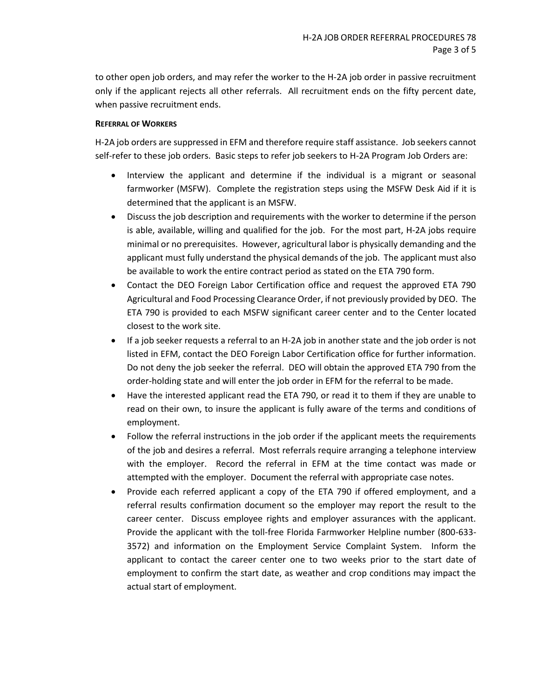to other open job orders, and may refer the worker to the H-2A job order in passive recruitment only if the applicant rejects all other referrals. All recruitment ends on the fifty percent date, when passive recruitment ends.

## **REFERRAL OF WORKERS**

H-2A job orders are suppressed in EFM and therefore require staff assistance. Job seekers cannot self-refer to these job orders. Basic steps to refer job seekers to H-2A Program Job Orders are:

- Interview the applicant and determine if the individual is a migrant or seasonal farmworker (MSFW). Complete the registration steps using the MSFW Desk Aid if it is determined that the applicant is an MSFW.
- Discuss the job description and requirements with the worker to determine if the person is able, available, willing and qualified for the job. For the most part, H-2A jobs require minimal or no prerequisites. However, agricultural labor is physically demanding and the applicant must fully understand the physical demands of the job. The applicant must also be available to work the entire contract period as stated on the ETA 790 form.
- Contact the DEO Foreign Labor Certification office and request the approved ETA 790 Agricultural and Food Processing Clearance Order, if not previously provided by DEO. The ETA 790 is provided to each MSFW significant career center and to the Center located closest to the work site.
- If a job seeker requests a referral to an H-2A job in another state and the job order is not listed in EFM, contact the DEO Foreign Labor Certification office for further information. Do not deny the job seeker the referral. DEO will obtain the approved ETA 790 from the order-holding state and will enter the job order in EFM for the referral to be made.
- Have the interested applicant read the ETA 790, or read it to them if they are unable to read on their own, to insure the applicant is fully aware of the terms and conditions of employment.
- Follow the referral instructions in the job order if the applicant meets the requirements of the job and desires a referral. Most referrals require arranging a telephone interview with the employer. Record the referral in EFM at the time contact was made or attempted with the employer. Document the referral with appropriate case notes.
- Provide each referred applicant a copy of the ETA 790 if offered employment, and a referral results confirmation document so the employer may report the result to the career center. Discuss employee rights and employer assurances with the applicant. Provide the applicant with the toll-free Florida Farmworker Helpline number (800-633- 3572) and information on the Employment Service Complaint System. Inform the applicant to contact the career center one to two weeks prior to the start date of employment to confirm the start date, as weather and crop conditions may impact the actual start of employment.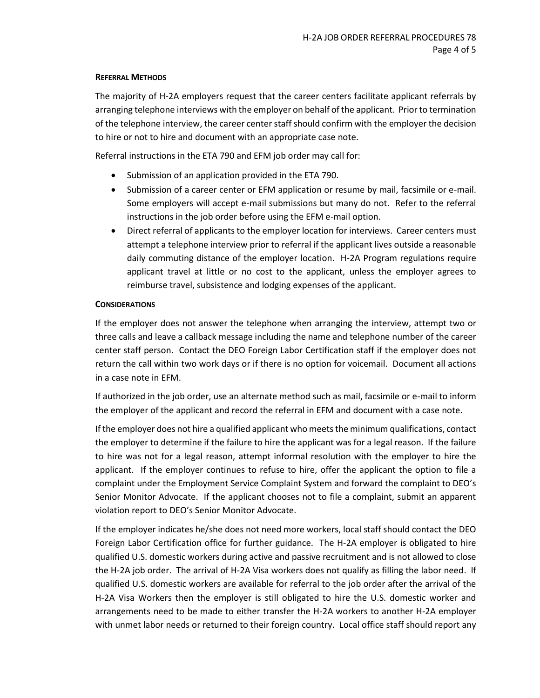#### **REFERRAL METHODS**

The majority of H-2A employers request that the career centers facilitate applicant referrals by arranging telephone interviews with the employer on behalf of the applicant. Prior to termination of the telephone interview, the career center staff should confirm with the employer the decision to hire or not to hire and document with an appropriate case note.

Referral instructions in the ETA 790 and EFM job order may call for:

- Submission of an application provided in the ETA 790.
- Submission of a career center or EFM application or resume by mail, facsimile or e-mail. Some employers will accept e-mail submissions but many do not. Refer to the referral instructions in the job order before using the EFM e-mail option.
- Direct referral of applicants to the employer location for interviews. Career centers must attempt a telephone interview prior to referral if the applicant lives outside a reasonable daily commuting distance of the employer location. H-2A Program regulations require applicant travel at little or no cost to the applicant, unless the employer agrees to reimburse travel, subsistence and lodging expenses of the applicant.

# **CONSIDERATIONS**

If the employer does not answer the telephone when arranging the interview, attempt two or three calls and leave a callback message including the name and telephone number of the career center staff person. Contact the DEO Foreign Labor Certification staff if the employer does not return the call within two work days or if there is no option for voicemail. Document all actions in a case note in EFM.

If authorized in the job order, use an alternate method such as mail, facsimile or e-mail to inform the employer of the applicant and record the referral in EFM and document with a case note.

If the employer does not hire a qualified applicant who meets the minimum qualifications, contact the employer to determine if the failure to hire the applicant was for a legal reason. If the failure to hire was not for a legal reason, attempt informal resolution with the employer to hire the applicant. If the employer continues to refuse to hire, offer the applicant the option to file a complaint under the Employment Service Complaint System and forward the complaint to DEO's Senior Monitor Advocate. If the applicant chooses not to file a complaint, submit an apparent violation report to DEO's Senior Monitor Advocate.

If the employer indicates he/she does not need more workers, local staff should contact the DEO Foreign Labor Certification office for further guidance. The H-2A employer is obligated to hire qualified U.S. domestic workers during active and passive recruitment and is not allowed to close the H-2A job order. The arrival of H-2A Visa workers does not qualify as filling the labor need. If qualified U.S. domestic workers are available for referral to the job order after the arrival of the H-2A Visa Workers then the employer is still obligated to hire the U.S. domestic worker and arrangements need to be made to either transfer the H-2A workers to another H-2A employer with unmet labor needs or returned to their foreign country. Local office staff should report any